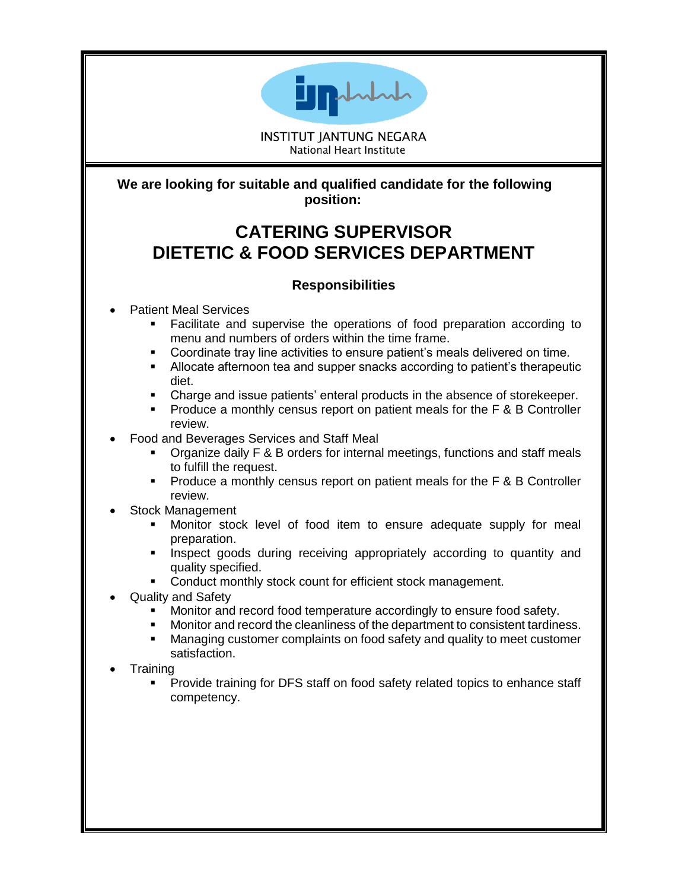

**INSTITUT JANTUNG NEGARA National Heart Institute** 

**We are looking for suitable and qualified candidate for the following position:**

## **CATERING SUPERVISOR DIETETIC & FOOD SERVICES DEPARTMENT**

## **Responsibilities**

- Patient Meal Services
	- Facilitate and supervise the operations of food preparation according to menu and numbers of orders within the time frame.
	- Coordinate tray line activities to ensure patient's meals delivered on time.
	- Allocate afternoon tea and supper snacks according to patient's therapeutic diet.
	- Charge and issue patients' enteral products in the absence of storekeeper.
	- Produce a monthly census report on patient meals for the F & B Controller review.
- Food and Beverages Services and Staff Meal
	- Organize daily F & B orders for internal meetings, functions and staff meals to fulfill the request.
	- Produce a monthly census report on patient meals for the F & B Controller review.
- Stock Management
	- Monitor stock level of food item to ensure adequate supply for meal preparation.
	- Inspect goods during receiving appropriately according to quantity and quality specified.
	- Conduct monthly stock count for efficient stock management.
- Quality and Safety
	- Monitor and record food temperature accordingly to ensure food safety.
	- Monitor and record the cleanliness of the department to consistent tardiness.
	- **■** Managing customer complaints on food safety and quality to meet customer satisfaction.
- **Training** 
	- Provide training for DFS staff on food safety related topics to enhance staff competency.